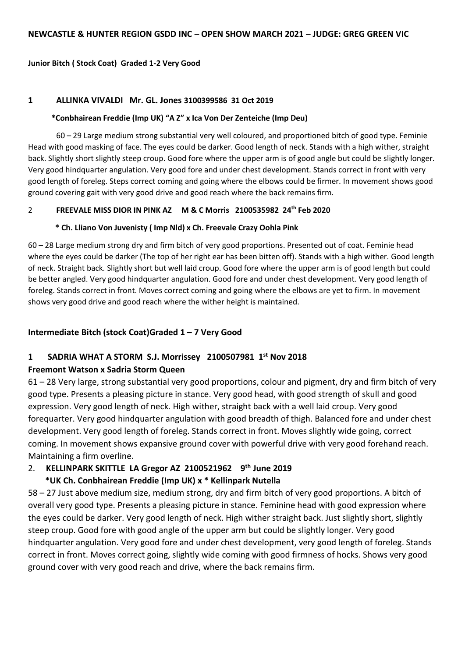#### **Junior Bitch ( Stock Coat) Graded 1-2 Very Good**

#### **1 ALLINKA VIVALDI Mr. GL. Jones 3100399586 31 Oct 2019**

#### **\*Conbhairean Freddie (Imp UK) "A Z" x Ica Von Der Zenteiche (Imp Deu)**

60 – 29 Large medium strong substantial very well coloured, and proportioned bitch of good type. Feminie Head with good masking of face. The eyes could be darker. Good length of neck. Stands with a high wither, straight back. Slightly short slightly steep croup. Good fore where the upper arm is of good angle but could be slightly longer. Very good hindquarter angulation. Very good fore and under chest development. Stands correct in front with very good length of foreleg. Steps correct coming and going where the elbows could be firmer. In movement shows good ground covering gait with very good drive and good reach where the back remains firm.

#### 2 **FREEVALE MISS DIOR IN PINK AZ M & C Morris 2100535982 24th Feb 2020**

#### **\* Ch. Lliano Von Juvenisty ( Imp Nld) x Ch. Freevale Crazy Oohla Pink**

60 – 28 Large medium strong dry and firm bitch of very good proportions. Presented out of coat. Feminie head where the eyes could be darker (The top of her right ear has been bitten off). Stands with a high wither. Good length of neck. Straight back. Slightly short but well laid croup. Good fore where the upper arm is of good length but could be better angled. Very good hindquarter angulation. Good fore and under chest development. Very good length of foreleg. Stands correct in front. Moves correct coming and going where the elbows are yet to firm. In movement shows very good drive and good reach where the wither height is maintained.

#### **Intermediate Bitch (stock Coat)Graded 1 – 7 Very Good**

# **1 SADRIA WHAT A STORM S.J. Morrissey 2100507981 1st Nov 2018**

#### **Freemont Watson x Sadria Storm Queen**

61 – 28 Very large, strong substantial very good proportions, colour and pigment, dry and firm bitch of very good type. Presents a pleasing picture in stance. Very good head, with good strength of skull and good expression. Very good length of neck. High wither, straight back with a well laid croup. Very good forequarter. Very good hindquarter angulation with good breadth of thigh. Balanced fore and under chest development. Very good length of foreleg. Stands correct in front. Moves slightly wide going, correct coming. In movement shows expansive ground cover with powerful drive with very good forehand reach. Maintaining a firm overline.

# 2. **KELLINPARK SKITTLE LA Gregor AZ 2100521962 9th June 2019**

#### **\*UK Ch. Conbhairean Freddie (Imp UK) x \* Kellinpark Nutella**

58 – 27 Just above medium size, medium strong, dry and firm bitch of very good proportions. A bitch of overall very good type. Presents a pleasing picture in stance. Feminine head with good expression where the eyes could be darker. Very good length of neck. High wither straight back. Just slightly short, slightly steep croup. Good fore with good angle of the upper arm but could be slightly longer. Very good hindquarter angulation. Very good fore and under chest development, very good length of foreleg. Stands correct in front. Moves correct going, slightly wide coming with good firmness of hocks. Shows very good ground cover with very good reach and drive, where the back remains firm.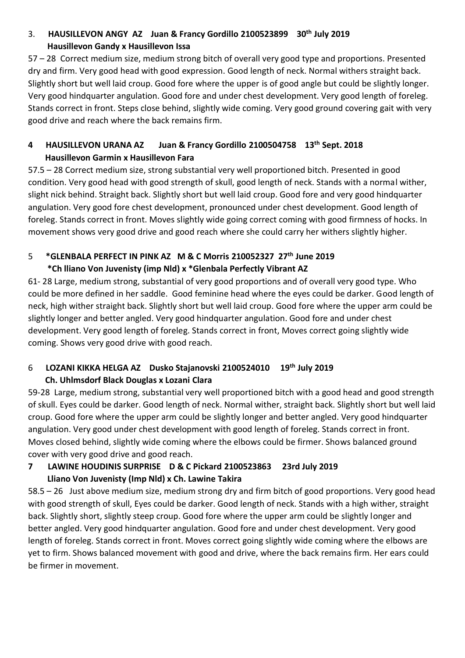# 3. **HAUSILLEVON ANGY AZ Juan & Francy Gordillo 2100523899 30th July 2019 Hausillevon Gandy x Hausillevon Issa**

57 – 28 Correct medium size, medium strong bitch of overall very good type and proportions. Presented dry and firm. Very good head with good expression. Good length of neck. Normal withers straight back. Slightly short but well laid croup. Good fore where the upper is of good angle but could be slightly longer. Very good hindquarter angulation. Good fore and under chest development. Very good length of foreleg. Stands correct in front. Steps close behind, slightly wide coming. Very good ground covering gait with very good drive and reach where the back remains firm.

## **4 HAUSILLEVON URANA AZ Juan & Francy Gordillo 2100504758 13th Sept. 2018 Hausillevon Garmin x Hausillevon Fara**

57.5 – 28 Correct medium size, strong substantial very well proportioned bitch. Presented in good condition. Very good head with good strength of skull, good length of neck. Stands with a normal wither, slight nick behind. Straight back. Slightly short but well laid croup. Good fore and very good hindquarter angulation. Very good fore chest development, pronounced under chest development. Good length of foreleg. Stands correct in front. Moves slightly wide going correct coming with good firmness of hocks. In movement shows very good drive and good reach where she could carry her withers slightly higher.

## 5 **\*GLENBALA PERFECT IN PINK AZ M & C Morris 210052327 27th June 2019 \*Ch lliano Von Juvenisty (imp Nld) x \*Glenbala Perfectly Vibrant AZ**

61- 28 Large, medium strong, substantial of very good proportions and of overall very good type. Who could be more defined in her saddle. Good feminine head where the eyes could be darker. Good length of neck, high wither straight back. Slightly short but well laid croup. Good fore where the upper arm could be slightly longer and better angled. Very good hindquarter angulation. Good fore and under chest development. Very good length of foreleg. Stands correct in front, Moves correct going slightly wide coming. Shows very good drive with good reach.

# 6 **LOZANI KIKKA HELGA AZ Dusko Stajanovski 2100524010 19th July 2019 Ch. Uhlmsdorf Black Douglas x Lozani Clara**

59-28 Large, medium strong, substantial very well proportioned bitch with a good head and good strength of skull. Eyes could be darker. Good length of neck. Normal wither, straight back. Slightly short but well laid croup. Good fore where the upper arm could be slightly longer and better angled. Very good hindquarter angulation. Very good under chest development with good length of foreleg. Stands correct in front. Moves closed behind, slightly wide coming where the elbows could be firmer. Shows balanced ground cover with very good drive and good reach.

## **7 LAWINE HOUDINIS SURPRISE D & C Pickard 2100523863 23rd July 2019 Lliano Von Juvenisty (Imp Nld) x Ch. Lawine Takira**

58.5 – 26 Just above medium size, medium strong dry and firm bitch of good proportions. Very good head with good strength of skull, Eyes could be darker. Good length of neck. Stands with a high wither, straight back. Slightly short, slightly steep croup. Good fore where the upper arm could be slightly longer and better angled. Very good hindquarter angulation. Good fore and under chest development. Very good length of foreleg. Stands correct in front. Moves correct going slightly wide coming where the elbows are yet to firm. Shows balanced movement with good and drive, where the back remains firm. Her ears could be firmer in movement.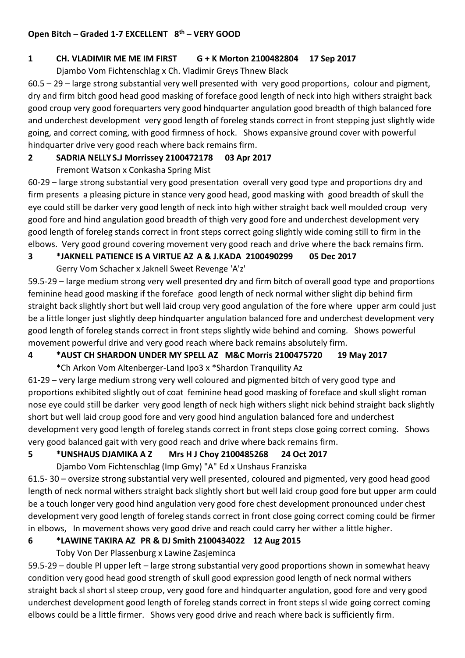#### **Open Bitch – Graded 1-7 EXCELLENT 8th – VERY GOOD**

#### **1 CH. VLADIMIR ME ME IM FIRST G + K Morton 2100482804 17 Sep 2017**

Djambo Vom Fichtenschlag x Ch. Vladimir Greys Thnew Black

60.5 – 29 – large strong substantial very well presented with very good proportions, colour and pigment, dry and firm bitch good head good masking of foreface good length of neck into high withers straight back good croup very good forequarters very good hindquarter angulation good breadth of thigh balanced fore and underchest development very good length of foreleg stands correct in front stepping just slightly wide going, and correct coming, with good firmness of hock. Shows expansive ground cover with powerful hindquarter drive very good reach where back remains firm.

#### **2 SADRIA NELLY S.J Morrissey 2100472178 03 Apr 2017**

Fremont Watson x Conkasha Spring Mist

60-29 – large strong substantial very good presentation overall very good type and proportions dry and firm presents a pleasing picture in stance very good head, good masking with good breadth of skull the eye could still be darker very good length of neck into high wither straight back well moulded croup very good fore and hind angulation good breadth of thigh very good fore and underchest development very good length of foreleg stands correct in front steps correct going slightly wide coming still to firm in the elbows. Very good ground covering movement very good reach and drive where the back remains firm.

## **3 \*JAKNELL PATIENCE IS A VIRTUE AZ A & J.KADA 2100490299 05 Dec 2017**

Gerry Vom Schacher x Jaknell Sweet Revenge 'A'z'

59.5-29 – large medium strong very well presented dry and firm bitch of overall good type and proportions feminine head good masking if the foreface good length of neck normal wither slight dip behind firm straight back slightly short but well laid croup very good angulation of the fore where upper arm could just be a little longer just slightly deep hindquarter angulation balanced fore and underchest development very good length of foreleg stands correct in front steps slightly wide behind and coming. Shows powerful movement powerful drive and very good reach where back remains absolutely firm.

## **4 \*AUST CH SHARDON UNDER MY SPELL AZ M&C Morris 2100475720 19 May 2017**

\*Ch Arkon Vom Altenberger-Land Ipo3 x \*Shardon Tranquility Az

61-29 – very large medium strong very well coloured and pigmented bitch of very good type and proportions exhibited slightly out of coat feminine head good masking of foreface and skull slight roman nose eye could still be darker very good length of neck high withers slight nick behind straight back slightly short but well laid croup good fore and very good hind angulation balanced fore and underchest development very good length of foreleg stands correct in front steps close going correct coming. Shows very good balanced gait with very good reach and drive where back remains firm.

# **5 \*UNSHAUS DJAMIKA A Z Mrs H J Choy 2100485268 24 Oct 2017**

Djambo Vom Fichtenschlag (Imp Gmy) "A" Ed x Unshaus Franziska

61.5- 30 – oversize strong substantial very well presented, coloured and pigmented, very good head good length of neck normal withers straight back slightly short but well laid croup good fore but upper arm could be a touch longer very good hind angulation very good fore chest development pronounced under chest development very good length of foreleg stands correct in front close going correct coming could be firmer in elbows, In movement shows very good drive and reach could carry her wither a little higher.

# **6 \*LAWINE TAKIRA AZ PR & DJ Smith 2100434022 12 Aug 2015**

Toby Von Der Plassenburg x Lawine Zasjeminca

59.5-29 – double Pl upper left – large strong substantial very good proportions shown in somewhat heavy condition very good head good strength of skull good expression good length of neck normal withers straight back sl short sl steep croup, very good fore and hindquarter angulation, good fore and very good underchest development good length of foreleg stands correct in front steps sl wide going correct coming elbows could be a little firmer. Shows very good drive and reach where back is sufficiently firm.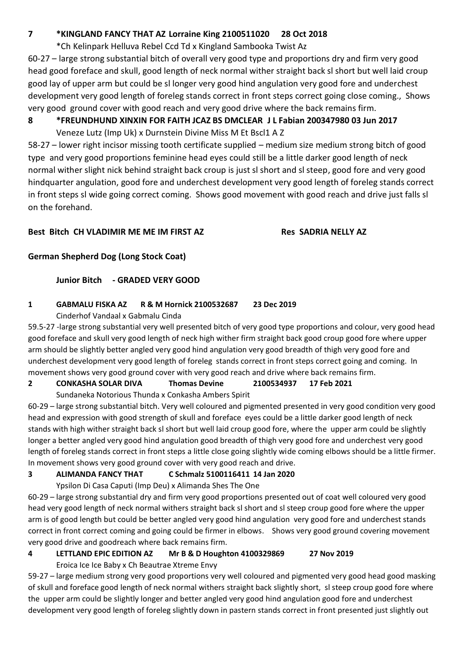#### **7 \*KINGLAND FANCY THAT AZ Lorraine King 2100511020 28 Oct 2018**

\*Ch Kelinpark Helluva Rebel Ccd Td x Kingland Sambooka Twist Az

60-27 – large strong substantial bitch of overall very good type and proportions dry and firm very good head good foreface and skull, good length of neck normal wither straight back sl short but well laid croup good lay of upper arm but could be sl longer very good hind angulation very good fore and underchest development very good length of foreleg stands correct in front steps correct going close coming., Shows very good ground cover with good reach and very good drive where the back remains firm.

# **8 \*FREUNDHUND XINXIN FOR FAITH JCAZ BS DMCLEAR J L Fabian 200347980 03 Jun 2017**

Veneze Lutz (Imp Uk) x Durnstein Divine Miss M Et Bscl1 A Z

58-27 – lower right incisor missing tooth certificate supplied – medium size medium strong bitch of good type and very good proportions feminine head eyes could still be a little darker good length of neck normal wither slight nick behind straight back croup is just sl short and sl steep, good fore and very good hindquarter angulation, good fore and underchest development very good length of foreleg stands correct in front steps sl wide going correct coming. Shows good movement with good reach and drive just falls sl on the forehand.

#### **Best Bitch CH VLADIMIR ME ME IM FIRST AZ Res SADRIA NELLY AZ**

## **German Shepherd Dog (Long Stock Coat)**

## **Junior Bitch - GRADED VERY GOOD**

## **1 GABMALU FISKA AZ R & M Hornick 2100532687 23 Dec 2019**

Cinderhof Vandaal x Gabmalu Cinda

59.5-27 -large strong substantial very well presented bitch of very good type proportions and colour, very good head good foreface and skull very good length of neck high wither firm straight back good croup good fore where upper arm should be slightly better angled very good hind angulation very good breadth of thigh very good fore and underchest development very good length of foreleg stands correct in front steps correct going and coming. In movement shows very good ground cover with very good reach and drive where back remains firm.

## **2 CONKASHA SOLAR DIVA Thomas Devine 2100534937 17 Feb 2021**

Sundaneka Notorious Thunda x Conkasha Ambers Spirit

60-29 – large strong substantial bitch. Very well coloured and pigmented presented in very good condition very good head and expression with good strength of skull and foreface eyes could be a little darker good length of neck stands with high wither straight back sl short but well laid croup good fore, where the upper arm could be slightly longer a better angled very good hind angulation good breadth of thigh very good fore and underchest very good length of foreleg stands correct in front steps a little close going slightly wide coming elbows should be a little firmer. In movement shows very good ground cover with very good reach and drive.

## **3 ALIMANDA FANCY THAT C Schmalz 5100116411 14 Jan 2020**

Ypsilon Di Casa Caputi (Imp Deu) x Alimanda Shes The One

60-29 – large strong substantial dry and firm very good proportions presented out of coat well coloured very good head very good length of neck normal withers straight back sl short and sl steep croup good fore where the upper arm is of good length but could be better angled very good hind angulation very good fore and underchest stands correct in front correct coming and going could be firmer in elbows. Shows very good ground covering movement very good drive and goodreach where back remains firm.

## **4 LETTLAND EPIC EDITION AZ Mr B & D Houghton 4100329869 27 Nov 2019**

Eroica Ice Ice Baby x Ch Beautrae Xtreme Envy

59-27 – large medium strong very good proportions very well coloured and pigmented very good head good masking of skull and foreface good length of neck normal withers straight back slightly short, sl steep croup good fore where the upper arm could be slightly longer and better angled very good hind angulation good fore and underchest development very good length of foreleg slightly down in pastern stands correct in front presented just slightly out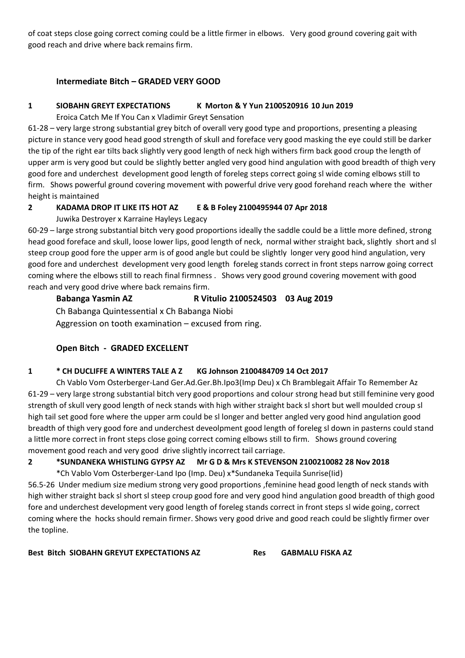of coat steps close going correct coming could be a little firmer in elbows. Very good ground covering gait with good reach and drive where back remains firm.

#### **Intermediate Bitch – GRADED VERY GOOD**

#### **1 SIOBAHN GREYT EXPECTATIONS K Morton & Y Yun 2100520916 10 Jun 2019**

Eroica Catch Me If You Can x Vladimir Greyt Sensation

61-28 – very large strong substantial grey bitch of overall very good type and proportions, presenting a pleasing picture in stance very good head good strength of skull and foreface very good masking the eye could still be darker the tip of the right ear tilts back slightly very good length of neck high withers firm back good croup the length of upper arm is very good but could be slightly better angled very good hind angulation with good breadth of thigh very good fore and underchest development good length of foreleg steps correct going sl wide coming elbows still to firm. Shows powerful ground covering movement with powerful drive very good forehand reach where the wither height is maintained

#### **2 KADAMA DROP IT LIKE ITS HOT AZ E & B Foley 2100495944 07 Apr 2018**

Juwika Destroyer x Karraine Hayleys Legacy

60-29 – large strong substantial bitch very good proportions ideally the saddle could be a little more defined, strong head good foreface and skull, loose lower lips, good length of neck, normal wither straight back, slightly short and sl steep croup good fore the upper arm is of good angle but could be slightly longer very good hind angulation, very good fore and underchest development very good length foreleg stands correct in front steps narrow going correct coming where the elbows still to reach final firmness . Shows very good ground covering movement with good reach and very good drive where back remains firm.

# **Babanga Yasmin AZ R Vitulio 2100524503 03 Aug 2019**

Ch Babanga Quintessential x Ch Babanga Niobi

Aggression on tooth examination – excused from ring.

## **Open Bitch - GRADED EXCELLENT**

#### **1 \* CH DUCLIFFE A WINTERS TALE A Z KG Johnson 2100484709 14 Oct 2017**

Ch Vablo Vom Osterberger-Land Ger.Ad.Ger.Bh.Ipo3(Imp Deu) x Ch Bramblegait Affair To Remember Az 61-29 – very large strong substantial bitch very good proportions and colour strong head but still feminine very good strength of skull very good length of neck stands with high wither straight back sl short but well moulded croup sl high tail set good fore where the upper arm could be sl longer and better angled very good hind angulation good breadth of thigh very good fore and underchest deveolpment good length of foreleg sl down in pasterns could stand a little more correct in front steps close going correct coming elbows still to firm. Shows ground covering movement good reach and very good drive slightly incorrect tail carriage.

## **2 \*SUNDANEKA WHISTLING GYPSY AZ Mr G D & Mrs K STEVENSON 2100210082 28 Nov 2018**

\*Ch Vablo Vom Osterberger-Land Ipo (Imp. Deu) x\*Sundaneka Tequila Sunrise(Iid)

56.5-26 Under medium size medium strong very good proportions ,feminine head good length of neck stands with high wither straight back sl short sl steep croup good fore and very good hind angulation good breadth of thigh good fore and underchest development very good length of foreleg stands correct in front steps sl wide going, correct coming where the hocks should remain firmer. Shows very good drive and good reach could be slightly firmer over the topline.

**Best Bitch SIOBAHN GREYUT EXPECTATIONS AZ Res GABMALU FISKA AZ**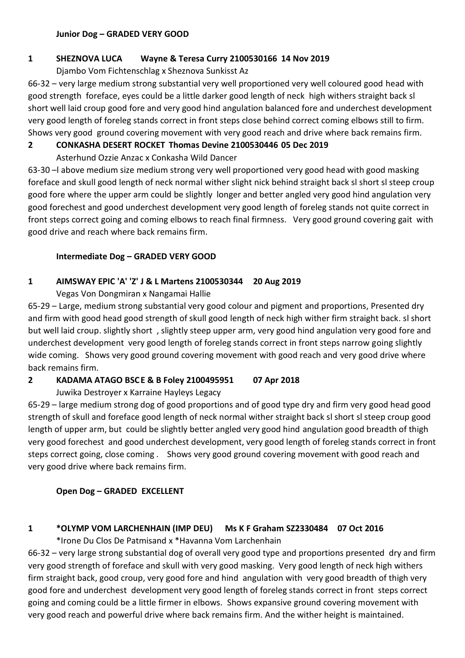#### **Junior Dog – GRADED VERY GOOD**

#### **1 SHEZNOVA LUCA Wayne & Teresa Curry 2100530166 14 Nov 2019**

Djambo Vom Fichtenschlag x Sheznova Sunkisst Az

66-32 – very large medium strong substantial very well proportioned very well coloured good head with good strength foreface, eyes could be a little darker good length of neck high withers straight back sl short well laid croup good fore and very good hind angulation balanced fore and underchest development very good length of foreleg stands correct in front steps close behind correct coming elbows still to firm. Shows very good ground covering movement with very good reach and drive where back remains firm.

#### **2 CONKASHA DESERT ROCKET Thomas Devine 2100530446 05 Dec 2019**

Asterhund Ozzie Anzac x Conkasha Wild Dancer

63-30 –l above medium size medium strong very well proportioned very good head with good masking foreface and skull good length of neck normal wither slight nick behind straight back sl short sl steep croup good fore where the upper arm could be slightly longer and better angled very good hind angulation very good forechest and good underchest development very good length of foreleg stands not quite correct in front steps correct going and coming elbows to reach final firmness. Very good ground covering gait with good drive and reach where back remains firm.

#### **Intermediate Dog – GRADED VERY GOOD**

## **1 AIMSWAY EPIC 'A' 'Z' J & L Martens 2100530344 20 Aug 2019**

Vegas Von Dongmiran x Nangamai Hallie

65-29 – Large, medium strong substantial very good colour and pigment and proportions, Presented dry and firm with good head good strength of skull good length of neck high wither firm straight back. sl short but well laid croup. slightly short , slightly steep upper arm, very good hind angulation very good fore and underchest development very good length of foreleg stands correct in front steps narrow going slightly wide coming. Shows very good ground covering movement with good reach and very good drive where back remains firm.

## **2 KADAMA ATAGO BSCE & B Foley 2100495951 07 Apr 2018**

Juwika Destroyer x Karraine Hayleys Legacy

65-29 – large medium strong dog of good proportions and of good type dry and firm very good head good strength of skull and foreface good length of neck normal wither straight back sl short sl steep croup good length of upper arm, but could be slightly better angled very good hind angulation good breadth of thigh very good forechest and good underchest development, very good length of foreleg stands correct in front steps correct going, close coming . Shows very good ground covering movement with good reach and very good drive where back remains firm.

#### **Open Dog – GRADED EXCELLENT**

## **1 \*OLYMP VOM LARCHENHAIN (IMP DEU) Ms K F Graham SZ2330484 07 Oct 2016**

\*Irone Du Clos De Patmisand x \*Havanna Vom Larchenhain

66-32 – very large strong substantial dog of overall very good type and proportions presented dry and firm very good strength of foreface and skull with very good masking. Very good length of neck high withers firm straight back, good croup, very good fore and hind angulation with very good breadth of thigh very good fore and underchest development very good length of foreleg stands correct in front steps correct going and coming could be a little firmer in elbows. Shows expansive ground covering movement with very good reach and powerful drive where back remains firm. And the wither height is maintained.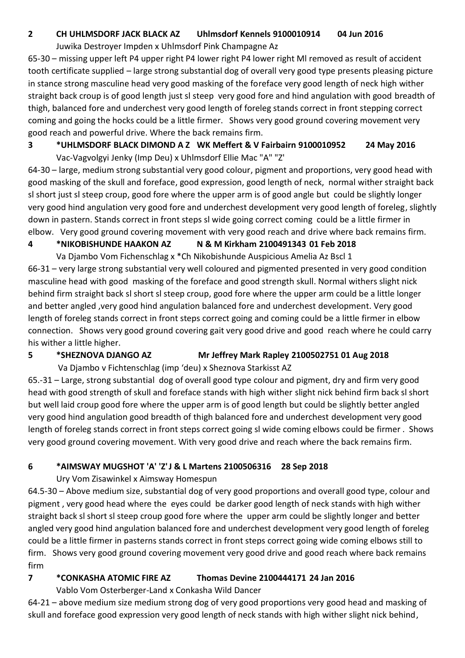## **2 CH UHLMSDORF JACK BLACK AZ Uhlmsdorf Kennels 9100010914 04 Jun 2016**

Juwika Destroyer Impden x Uhlmsdorf Pink Champagne Az

65-30 – missing upper left P4 upper right P4 lower right P4 lower right Ml removed as result of accident tooth certificate supplied – large strong substantial dog of overall very good type presents pleasing picture in stance strong masculine head very good masking of the foreface very good length of neck high wither straight back croup is of good length just sl steep very good fore and hind angulation with good breadth of thigh, balanced fore and underchest very good length of foreleg stands correct in front stepping correct coming and going the hocks could be a little firmer. Shows very good ground covering movement very good reach and powerful drive. Where the back remains firm.

## **3 \*UHLMSDORF BLACK DIMOND A Z WK Meffert & V Fairbairn 9100010952 24 May 2016** Vac-Vagvolgyi Jenky (Imp Deu) x Uhlmsdorf Ellie Mac "A" "Z'

64-30 – large, medium strong substantial very good colour, pigment and proportions, very good head with good masking of the skull and foreface, good expression, good length of neck, normal wither straight back sl short just sl steep croup, good fore where the upper arm is of good angle but could be slightly longer very good hind angulation very good fore and underchest development very good length of foreleg, slightly down in pastern. Stands correct in front steps sl wide going correct coming could be a little firmer in elbow. Very good ground covering movement with very good reach and drive where back remains firm.

# **4 \*NIKOBISHUNDE HAAKON AZ N & M Kirkham 2100491343 01 Feb 2018**

Va Djambo Vom Fichenschlag x \*Ch Nikobishunde Auspicious Amelia Az Bscl 1

66-31 – very large strong substantial very well coloured and pigmented presented in very good condition masculine head with good masking of the foreface and good strength skull. Normal withers slight nick behind firm straight back sl short sl steep croup, good fore where the upper arm could be a little longer and better angled ,very good hind angulation balanced fore and underchest development. Very good length of foreleg stands correct in front steps correct going and coming could be a little firmer in elbow connection. Shows very good ground covering gait very good drive and good reach where he could carry his wither a little higher.

# **5 \*SHEZNOVA DJANGO AZ Mr Jeffrey Mark Rapley 2100502751 01 Aug 2018**

Va Djambo v Fichtenschlag (imp 'deu) x Sheznova Starkisst AZ

65.-31 – Large, strong substantial dog of overall good type colour and pigment, dry and firm very good head with good strength of skull and foreface stands with high wither slight nick behind firm back sl short but well laid croup good fore where the upper arm is of good length but could be slightly better angled very good hind angulation good breadth of thigh balanced fore and underchest development very good length of foreleg stands correct in front steps correct going sl wide coming elbows could be firmer . Shows very good ground covering movement. With very good drive and reach where the back remains firm.

# **6 \*AIMSWAY MUGSHOT 'A' 'Z'J & L Martens 2100506316 28 Sep 2018**

# Ury Vom Zisawinkel x Aimsway Homespun

64.5-30 – Above medium size, substantial dog of very good proportions and overall good type, colour and pigment , very good head where the eyes could be darker good length of neck stands with high wither straight back sl short sl steep croup good fore where the upper arm could be slightly longer and better angled very good hind angulation balanced fore and underchest development very good length of foreleg could be a little firmer in pasterns stands correct in front steps correct going wide coming elbows still to firm. Shows very good ground covering movement very good drive and good reach where back remains firm

# **7 \*CONKASHA ATOMIC FIRE AZ Thomas Devine 2100444171 24 Jan 2016**

Vablo Vom Osterberger-Land x Conkasha Wild Dancer

64-21 – above medium size medium strong dog of very good proportions very good head and masking of skull and foreface good expression very good length of neck stands with high wither slight nick behind,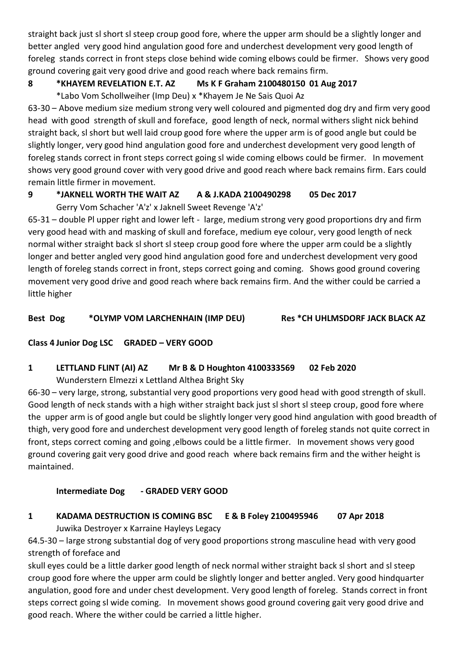straight back just sl short sl steep croup good fore, where the upper arm should be a slightly longer and better angled very good hind angulation good fore and underchest development very good length of foreleg stands correct in front steps close behind wide coming elbows could be firmer. Shows very good ground covering gait very good drive and good reach where back remains firm.

## **8 \*KHAYEM REVELATION E.T. AZ Ms K F Graham 2100480150 01 Aug 2017**

\*Labo Vom Schollweiher (Imp Deu) x \*Khayem Je Ne Sais Quoi Az

63-30 – Above medium size medium strong very well coloured and pigmented dog dry and firm very good head with good strength of skull and foreface, good length of neck, normal withers slight nick behind straight back, sl short but well laid croup good fore where the upper arm is of good angle but could be slightly longer, very good hind angulation good fore and underchest development very good length of foreleg stands correct in front steps correct going sl wide coming elbows could be firmer. In movement shows very good ground cover with very good drive and good reach where back remains firm. Ears could remain little firmer in movement.

# **9 \*JAKNELL WORTH THE WAIT AZ A & J.KADA 2100490298 05 Dec 2017**

Gerry Vom Schacher 'A'z' x Jaknell Sweet Revenge 'A'z'

65-31 – double Pl upper right and lower left - large, medium strong very good proportions dry and firm very good head with and masking of skull and foreface, medium eye colour, very good length of neck normal wither straight back sl short sl steep croup good fore where the upper arm could be a slightly longer and better angled very good hind angulation good fore and underchest development very good length of foreleg stands correct in front, steps correct going and coming. Shows good ground covering movement very good drive and good reach where back remains firm. And the wither could be carried a little higher

**Best Dog \*OLYMP VOM LARCHENHAIN (IMP DEU) Res \*CH UHLMSDORF JACK BLACK AZ**

## **Class 4 Junior Dog LSC GRADED – VERY GOOD**

## **1 LETTLAND FLINT (AI) AZ Mr B & D Houghton 4100333569 02 Feb 2020**

Wunderstern Elmezzi x Lettland Althea Bright Sky

66-30 – very large, strong, substantial very good proportions very good head with good strength of skull. Good length of neck stands with a high wither straight back just sl short sl steep croup, good fore where the upper arm is of good angle but could be slightly longer very good hind angulation with good breadth of thigh, very good fore and underchest development very good length of foreleg stands not quite correct in front, steps correct coming and going ,elbows could be a little firmer. In movement shows very good ground covering gait very good drive and good reach where back remains firm and the wither height is maintained.

# **Intermediate Dog - GRADED VERY GOOD**

# **1 KADAMA DESTRUCTION IS COMING BSC E & B Foley 2100495946 07 Apr 2018**

Juwika Destroyer x Karraine Hayleys Legacy

64.5-30 – large strong substantial dog of very good proportions strong masculine head with very good strength of foreface and

skull eyes could be a little darker good length of neck normal wither straight back sl short and sl steep croup good fore where the upper arm could be slightly longer and better angled. Very good hindquarter angulation, good fore and under chest development. Very good length of foreleg. Stands correct in front steps correct going sl wide coming. In movement shows good ground covering gait very good drive and good reach. Where the wither could be carried a little higher.